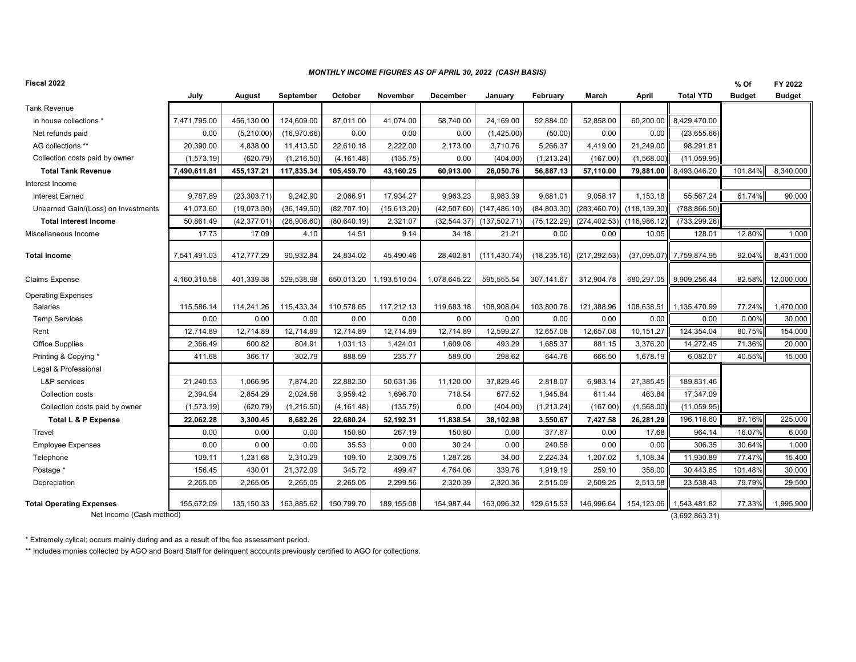## *MONTHLY INCOME FIGURES AS OF APRIL 30, 2022 (CASH BASIS)*

| Tank Revenue<br>In house collections *<br>Net refunds paid  | July<br>7,471,795.00<br>0.00<br>20,390.00 | August<br>456,130.00 | September<br>124,609.00 | October      | November                | December     | January       | February     | March                    | April       | <b>Total YTD</b>               | <b>Budget</b> | <b>Budget</b>     |
|-------------------------------------------------------------|-------------------------------------------|----------------------|-------------------------|--------------|-------------------------|--------------|---------------|--------------|--------------------------|-------------|--------------------------------|---------------|-------------------|
|                                                             |                                           |                      |                         |              |                         |              |               |              |                          |             |                                |               |                   |
|                                                             |                                           |                      |                         |              |                         |              |               |              |                          |             |                                |               |                   |
|                                                             |                                           |                      |                         | 87.011.00    | 41,074.00               | 58,740.00    | 24,169.00     | 52,884.00    | 52,858.00                | 60,200.00   | 8,429,470.00                   |               |                   |
|                                                             |                                           | (5,210.00)           | (16,970.66)             | 0.00         | 0.00                    | 0.00         | (1,425.00)    | (50.00)      | 0.00                     | 0.00        | (23,655.66)                    |               |                   |
| AG collections **                                           |                                           | 4,838.00             | 11,413.50               | 22,610.18    | 2,222.00                | 2,173.00     | 3,710.76      | 5,266.37     | 4,419.00                 | 21,249.00   | 98,291.81                      |               |                   |
| Collection costs paid by owner                              | (1,573.19)                                | (620.79)             | (1,216.50)              | (4, 161.48)  | (135.75)                | 0.00         | (404.00)      | (1,213.24)   | (167.00)                 | (1,568.00)  | (11,059.95)                    |               |                   |
| <b>Total Tank Revenue</b>                                   | 7,490,611.81                              | 455, 137.21          | 117,835.34              | 105,459.70   | 43,160.25               | 60,913.00    | 26,050.76     | 56,887.13    | 57,110.00                | 79,881.00   | 8,493,046.20                   | 101.84%       | 8,340,000         |
| Interest Income                                             |                                           |                      |                         |              |                         |              |               |              |                          |             |                                |               |                   |
| <b>Interest Earned</b>                                      | 9,787.89                                  | (23, 303.71)         | 9,242.90                | 2,066.91     | 17,934.27               | 9,963.23     | 9,983.39      | 9,681.01     | 9,058.17                 | 1,153.18    | 55,567.24                      | 61.74%        | 90,000            |
| Unearned Gain/(Loss) on Investments                         | 41.073.60                                 | (19,073.30)          | (36, 149.50)            | (82,707.10)  | (15,613.20)             | (42,507.60)  | (147, 486.10) | (84,803.30)  | (283,460.70) (118,139.30 |             | (788, 866.50)                  |               |                   |
| <b>Total Interest Income</b>                                | 50,861.49                                 | (42, 377.01)         | (26,906.60)             | (80, 640.19) | 2,321.07                | (32, 544.37) | (137, 502.71) | (75, 122.29) | (274, 402.53)            | (116,986.12 | (733,299.26)                   |               |                   |
| Miscellaneous Income                                        | 17.73                                     | 17.09                | 4.10                    | 14.51        | 9.14                    | 34.18        | 21.21         | 0.00         | 0.00                     | 10.05       | 128.01                         | 12.80%        | 1,000             |
| <b>Total Income</b>                                         | 7,541,491.03                              | 412,777.29           | 90,932.84               | 24,834.02    | 45,490.46               | 28,402.81    | (111, 430.74) | (18, 235.16) | (217, 292.53)            | (37,095.07) | 7,759,874.95                   | 92.04%        | 8,431,000         |
| Claims Expense                                              | 4,160,310.58                              | 401,339.38           | 529,538.98              |              | 650,013.20 1,193,510.04 | 1,078,645.22 | 595,555.54    | 307,141.67   | 312,904.78               | 680,297.05  | 9,909,256.44                   |               | 82.58% 12,000,000 |
| <b>Operating Expenses</b>                                   |                                           |                      |                         |              |                         |              |               |              |                          |             |                                |               |                   |
| Salaries                                                    | 115,586.14                                | 114,241.26           | 115,433.34              | 110,578.65   | 117,212.13              | 119,683.18   | 108,908.04    | 103,800.78   | 121,388.96               | 108,638.51  | 1,135,470.99                   | 77.24%        | 1,470,000         |
| <b>Temp Services</b>                                        | 0.00                                      | 0.00                 | 0.00                    | 0.00         | 0.00                    | 0.00         | 0.00          | 0.00         | 0.00                     | 0.00        | 0.00                           | 0.00%         | 30,000            |
| Rent                                                        | 12,714.89                                 | 12,714.89            | 12,714.89               | 12,714.89    | 12,714.89               | 12,714.89    | 12,599.27     | 12,657.08    | 12,657.08                | 10,151.27   | 124,354.04                     | 80.75%        | 154,000           |
| Office Supplies                                             | 2,366.49                                  | 600.82               | 804.91                  | 1.031.13     | 1,424.01                | 1,609.08     | 493.29        | 1,685.37     | 881.15                   | 3,376.20    | 14,272.45                      | 71.36%        | 20,000            |
| Printing & Copying *                                        | 411.68                                    | 366.17               | 302.79                  | 888.59       | 235.77                  | 589.00       | 298.62        | 644.76       | 666.50                   | 1,678.19    | 6,082.07                       | 40.55%        | 15,000            |
| Legal & Professional                                        |                                           |                      |                         |              |                         |              |               |              |                          |             |                                |               |                   |
| L&P services                                                | 21,240.53                                 | 1,066.95             | 7,874.20                | 22,882.30    | 50,631.36               | 11,120.00    | 37,829.46     | 2,818.07     | 6,983.14                 | 27,385.45   | 189,831.46                     |               |                   |
| Collection costs                                            | 2,394.94                                  | 2,854.29             | 2,024.56                | 3,959.42     | 1,696.70                | 718.54       | 677.52        | 1,945.84     | 611.44                   | 463.84      | 17,347.09                      |               |                   |
| Collection costs paid by owner                              | (1, 573.19)                               | (620.79)             | (1,216.50)              | (4, 161.48)  | (135.75)                | 0.00         | (404.00)      | (1, 213.24)  | (167.00)                 | (1,568.00)  | (11,059.95)                    |               |                   |
| <b>Total L &amp; P Expense</b>                              | 22,062.28                                 | 3,300.45             | 8,682.26                | 22,680.24    | 52,192.31               | 11,838.54    | 38,102.98     | 3,550.67     | 7,427.58                 | 26,281.29   | 196,118.60                     | 87.16%        | 225,000           |
| Travel                                                      | 0.00                                      | 0.00                 | 0.00                    | 150.80       | 267.19                  | 150.80       | 0.00          | 377.67       | 0.00                     | 17.68       | 964.14                         | 16.07%        | 6,000             |
| <b>Employee Expenses</b>                                    | 0.00                                      | 0.00                 | 0.00                    | 35.53        | 0.00                    | 30.24        | 0.00          | 240.58       | 0.00                     | 0.00        | 306.35                         | 30.64%        | 1,000             |
| Telephone                                                   | 109.11                                    | 1,231.68             | 2,310.29                | 109.10       | 2,309.75                | 1,287.26     | 34.00         | 2,224.34     | 1,207.02                 | 1,108.34    | 11,930.89                      | 77.47%        | 15,400            |
| Postage *                                                   | 156.45                                    | 430.01               | 21,372.09               | 345.72       | 499.47                  | 4,764.06     | 339.76        | 1,919.19     | 259.10                   | 358.00      | 30,443.85                      | 101.48%       | 30,000            |
| Depreciation                                                | 2,265.05                                  | 2,265.05             | 2,265.05                | 2,265.05     | 2,299.56                | 2,320.39     | 2,320.36      | 2,515.09     | 2,509.25                 | 2,513.58    | 23,538.43                      | 79.79%        | 29,500            |
| <b>Total Operating Expenses</b><br>Net Income (Cash method) | 155,672.09                                | 135, 150.33          | 163,885.62              | 150,799.70   | 189,155.08              | 154,987.44   | 163,096.32    | 129,615.53   | 146,996.64               | 154,123.06  | 1,543,481.82<br>(3,692,863.31) | 77.33%        | 1,995,900         |

\* Extremely cylical; occurs mainly during and as a result of the fee assessment period.

\*\* Includes monies collected by AGO and Board Staff for delinquent accounts previously certified to AGO for collections.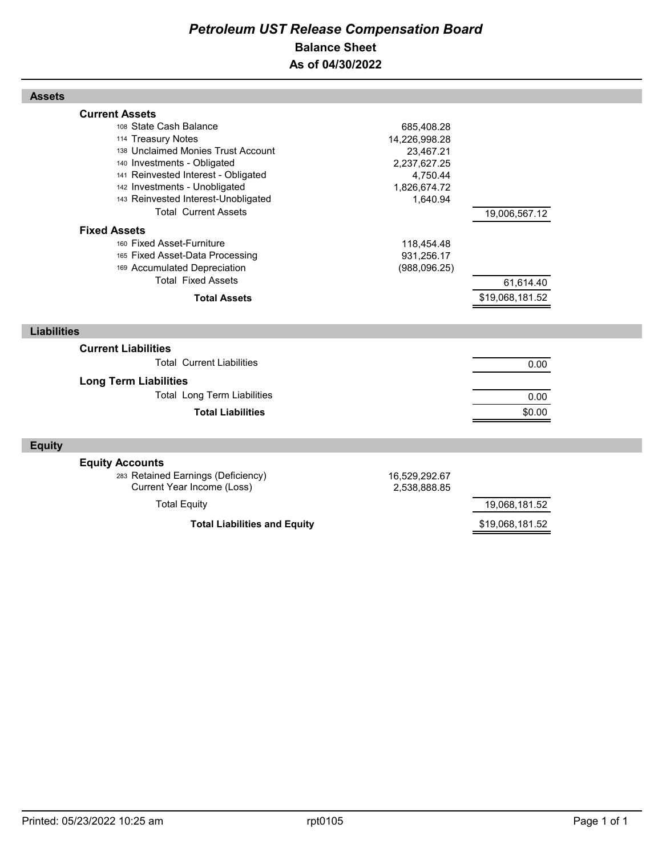## *Petroleum UST Release Compensation Board*  **Balance Sheet As of 04/30/2022**

| <b>Assets</b>                                                                                                                                                                                                                                                                            |                                                                                                  |                              |  |
|------------------------------------------------------------------------------------------------------------------------------------------------------------------------------------------------------------------------------------------------------------------------------------------|--------------------------------------------------------------------------------------------------|------------------------------|--|
| <b>Current Assets</b><br>108 State Cash Balance<br>114 Treasury Notes<br>138 Unclaimed Monies Trust Account<br>140 Investments - Obligated<br>141 Reinvested Interest - Obligated<br>142 Investments - Unobligated<br>143 Reinvested Interest-Unobligated<br><b>Total Current Assets</b> | 685,408.28<br>14,226,998.28<br>23,467.21<br>2,237,627.25<br>4,750.44<br>1,826,674.72<br>1,640.94 | 19,006,567.12                |  |
| <b>Fixed Assets</b><br>160 Fixed Asset-Furniture<br>165 Fixed Asset-Data Processing<br>169 Accumulated Depreciation<br><b>Total Fixed Assets</b><br><b>Total Assets</b>                                                                                                                  | 118,454.48<br>931,256.17<br>(988, 096.25)                                                        | 61,614.40<br>\$19,068,181.52 |  |
| <b>Liabilities</b>                                                                                                                                                                                                                                                                       |                                                                                                  |                              |  |
| <b>Current Liabilities</b><br><b>Total Current Liabilities</b><br><b>Long Term Liabilities</b><br><b>Total Long Term Liabilities</b><br><b>Total Liabilities</b>                                                                                                                         |                                                                                                  | 0.00<br>0.00<br>\$0.00       |  |
| <b>Equity</b>                                                                                                                                                                                                                                                                            |                                                                                                  |                              |  |
| <b>Equity Accounts</b><br>283 Retained Earnings (Deficiency)<br>Current Year Income (Loss)<br><b>Total Equity</b>                                                                                                                                                                        | 16,529,292.67<br>2,538,888.85                                                                    | 19,068,181.52                |  |
| <b>Total Liabilities and Equity</b>                                                                                                                                                                                                                                                      | \$19,068,181.52                                                                                  |                              |  |

Г

Г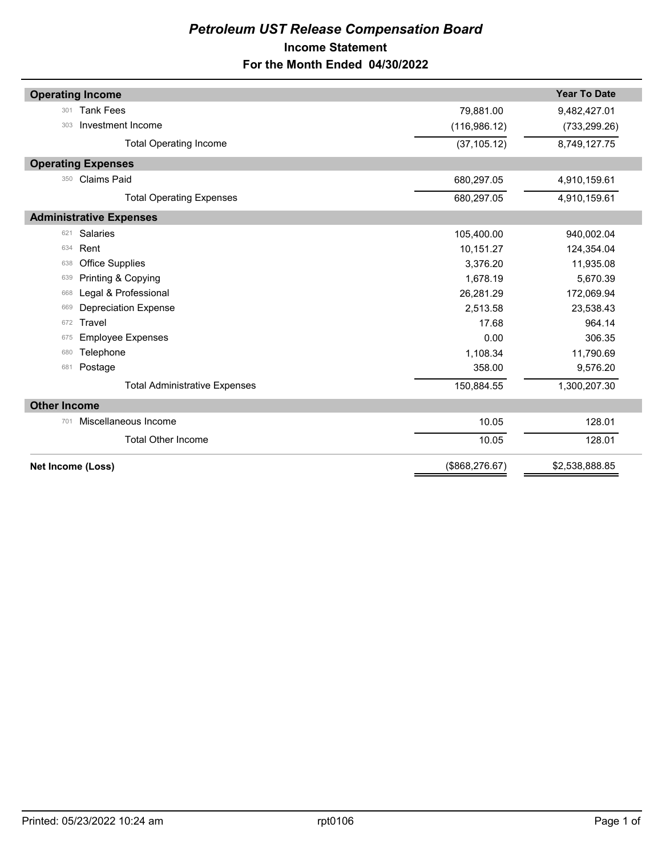## *Petroleum UST Release Compensation Board*  **Income Statement For the Month Ended 04/30/2022**

| <b>Operating Income</b>              |                 | <b>Year To Date</b> |
|--------------------------------------|-----------------|---------------------|
| <b>Tank Fees</b><br>301              | 79,881.00       | 9,482,427.01        |
| Investment Income<br>303             | (116, 986.12)   | (733, 299.26)       |
| <b>Total Operating Income</b>        | (37, 105.12)    | 8,749,127.75        |
| <b>Operating Expenses</b>            |                 |                     |
| <b>Claims Paid</b><br>350            | 680,297.05      | 4,910,159.61        |
| <b>Total Operating Expenses</b>      | 680,297.05      | 4,910,159.61        |
| <b>Administrative Expenses</b>       |                 |                     |
| <b>Salaries</b><br>621               | 105,400.00      | 940,002.04          |
| Rent<br>634                          | 10,151.27       | 124,354.04          |
| <b>Office Supplies</b><br>638        | 3,376.20        | 11,935.08           |
| Printing & Copying<br>639            | 1,678.19        | 5,670.39            |
| Legal & Professional<br>668          | 26,281.29       | 172,069.94          |
| <b>Depreciation Expense</b><br>669   | 2,513.58        | 23,538.43           |
| Travel<br>672                        | 17.68           | 964.14              |
| <b>Employee Expenses</b><br>675      | 0.00            | 306.35              |
| Telephone<br>680                     | 1,108.34        | 11,790.69           |
| Postage<br>681                       | 358.00          | 9,576.20            |
| <b>Total Administrative Expenses</b> | 150,884.55      | 1,300,207.30        |
| <b>Other Income</b>                  |                 |                     |
| Miscellaneous Income<br>701          | 10.05           | 128.01              |
| <b>Total Other Income</b>            | 10.05           | 128.01              |
| Net Income (Loss)                    | (\$868, 276.67) | \$2,538,888.85      |